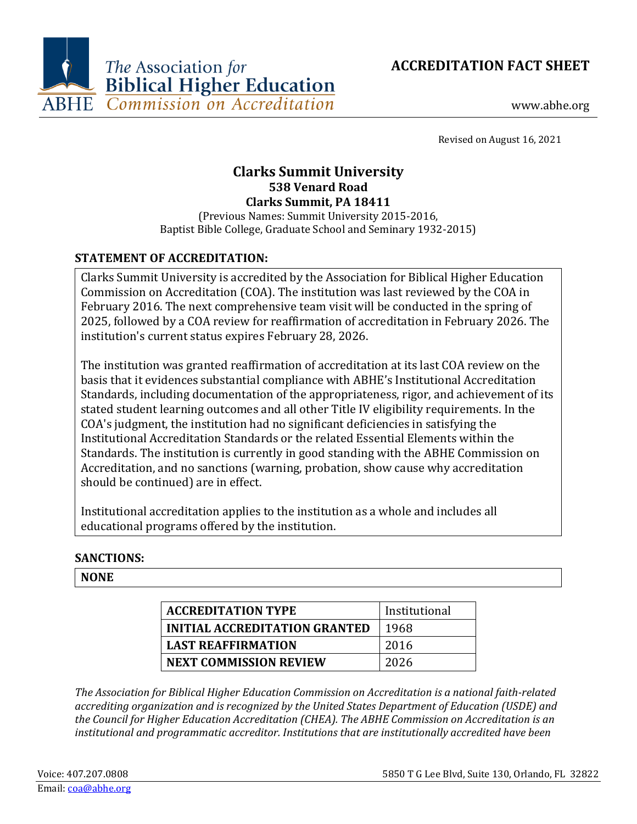



www.abhe.org

Revised on August 16, 2021

# **Clarks Summit University 538 Venard Road Clarks Summit, PA 18411**

(Previous Names: Summit University 2015-2016, Baptist Bible College, Graduate School and Seminary 1932-2015)

# **STATEMENT OF ACCREDITATION:**

Clarks Summit University is accredited by the Association for Biblical Higher Education Commission on Accreditation (COA). The institution was last reviewed by the COA in February 2016. The next comprehensive team visit will be conducted in the spring of 2025, followed by a COA review for reaffirmation of accreditation in February 2026. The institution's current status expires February 28, 2026.

The institution was granted reaffirmation of accreditation at its last COA review on the basis that it evidences substantial compliance with ABHE's Institutional Accreditation Standards, including documentation of the appropriateness, rigor, and achievement of its stated student learning outcomes and all other Title IV eligibility requirements. In the COA's judgment, the institution had no significant deficiencies in satisfying the Institutional Accreditation Standards or the related Essential Elements within the Standards. The institution is currently in good standing with the ABHE Commission on Accreditation, and no sanctions (warning, probation, show cause why accreditation should be continued) are in effect.

Institutional accreditation applies to the institution as a whole and includes all educational programs offered by the institution.

## **SANCTIONS:**

## **NONE**

| <b>ACCREDITATION TYPE</b>            | Institutional |
|--------------------------------------|---------------|
| <b>INITIAL ACCREDITATION GRANTED</b> | 1968          |
| <b>LAST REAFFIRMATION</b>            | 2016          |
| <b>NEXT COMMISSION REVIEW</b>        | 2026          |

*The Association for Biblical Higher Education Commission on Accreditation is a national faith-related accrediting organization and is recognized by the United States Department of Education (USDE) and the Council for Higher Education Accreditation (CHEA). The ABHE Commission on Accreditation is an institutional and programmatic accreditor. Institutions that are institutionally accredited have been*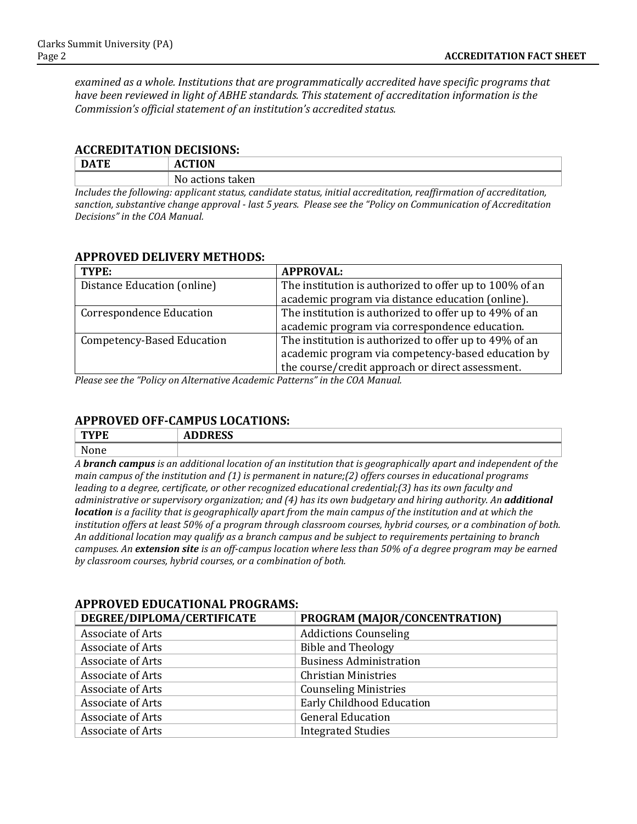*examined as a whole. Institutions that are programmatically accredited have specific programs that have been reviewed in light of ABHE standards. This statement of accreditation information is the Commission's official statement of an institution's accredited status.*

#### **ACCREDITATION DECISIONS:**

| . DATF | <b>ACTION</b>                                                                                                    |
|--------|------------------------------------------------------------------------------------------------------------------|
|        | No actions taken                                                                                                 |
|        | Inglydea the following, applicant statue, candidate statue, initial acquaditation, negligmation of acquaditation |

*Includes the following: applicant status, candidate status, initial accreditation, reaffirmation of accreditation, sanction, substantive change approval - last 5 years. Please see the "Policy on Communication of Accreditation Decisions" in the COA Manual.*

## **APPROVED DELIVERY METHODS:**

| TYPE:                           | <b>APPROVAL:</b>                                        |
|---------------------------------|---------------------------------------------------------|
| Distance Education (online)     | The institution is authorized to offer up to 100% of an |
|                                 | academic program via distance education (online).       |
| <b>Correspondence Education</b> | The institution is authorized to offer up to 49% of an  |
|                                 | academic program via correspondence education.          |
| Competency-Based Education      | The institution is authorized to offer up to 49% of an  |
|                                 | academic program via competency-based education by      |
|                                 | the course/credit approach or direct assessment.        |

*Please see the "Policy on Alternative Academic Patterns" in the COA Manual.*

## **APPROVED OFF-CAMPUS LOCATIONS:**

| <b>MIDD</b><br>- 13 | $B_{\rm B}$<br>r<br>ЛV<br>ככשתעי<br>$ -$ |
|---------------------|------------------------------------------|
| None                |                                          |

*A branch campus is an additional location of an institution that is geographically apart and independent of the main campus of the institution and (1) is permanent in nature;(2) offers courses in educational programs leading to a degree, certificate, or other recognized educational credential;(3) has its own faculty and administrative or supervisory organization; and (4) has its own budgetary and hiring authority. An additional location is a facility that is geographically apart from the main campus of the institution and at which the institution offers at least 50% of a program through classroom courses, hybrid courses, or a combination of both. An additional location may qualify as a branch campus and be subject to requirements pertaining to branch campuses. An extension site is an off-campus location where less than 50% of a degree program may be earned by classroom courses, hybrid courses, or a combination of both.*

| DEGREE/DIPLOMA/CERTIFICATE | PROGRAM (MAJOR/CONCENTRATION)  |
|----------------------------|--------------------------------|
| Associate of Arts          | <b>Addictions Counseling</b>   |
| <b>Associate of Arts</b>   | <b>Bible and Theology</b>      |
| <b>Associate of Arts</b>   | <b>Business Administration</b> |
| Associate of Arts          | <b>Christian Ministries</b>    |
| <b>Associate of Arts</b>   | <b>Counseling Ministries</b>   |
| <b>Associate of Arts</b>   | Early Childhood Education      |
| <b>Associate of Arts</b>   | <b>General Education</b>       |
| Associate of Arts          | <b>Integrated Studies</b>      |

## **APPROVED EDUCATIONAL PROGRAMS:**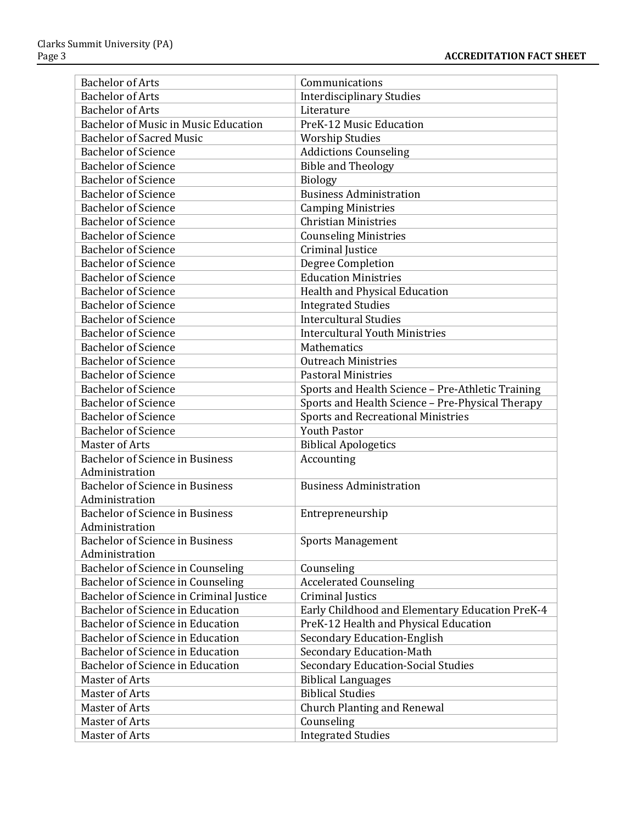| <b>Bachelor of Arts</b>                     | Communications                                    |
|---------------------------------------------|---------------------------------------------------|
| <b>Bachelor of Arts</b>                     | <b>Interdisciplinary Studies</b>                  |
| <b>Bachelor of Arts</b>                     | Literature                                        |
| <b>Bachelor of Music in Music Education</b> | PreK-12 Music Education                           |
| <b>Bachelor of Sacred Music</b>             | <b>Worship Studies</b>                            |
| <b>Bachelor of Science</b>                  | <b>Addictions Counseling</b>                      |
| <b>Bachelor of Science</b>                  | <b>Bible and Theology</b>                         |
| <b>Bachelor of Science</b>                  | <b>Biology</b>                                    |
| <b>Bachelor of Science</b>                  | <b>Business Administration</b>                    |
| <b>Bachelor of Science</b>                  | <b>Camping Ministries</b>                         |
| <b>Bachelor of Science</b>                  | <b>Christian Ministries</b>                       |
| <b>Bachelor of Science</b>                  | <b>Counseling Ministries</b>                      |
| <b>Bachelor of Science</b>                  | Criminal Justice                                  |
| <b>Bachelor of Science</b>                  | <b>Degree Completion</b>                          |
| <b>Bachelor of Science</b>                  | <b>Education Ministries</b>                       |
| <b>Bachelor of Science</b>                  | Health and Physical Education                     |
| <b>Bachelor of Science</b>                  | <b>Integrated Studies</b>                         |
| <b>Bachelor of Science</b>                  | <b>Intercultural Studies</b>                      |
| <b>Bachelor of Science</b>                  | <b>Intercultural Youth Ministries</b>             |
| <b>Bachelor of Science</b>                  | Mathematics                                       |
| <b>Bachelor of Science</b>                  | <b>Outreach Ministries</b>                        |
| <b>Bachelor of Science</b>                  | <b>Pastoral Ministries</b>                        |
| <b>Bachelor of Science</b>                  | Sports and Health Science - Pre-Athletic Training |
| <b>Bachelor of Science</b>                  | Sports and Health Science - Pre-Physical Therapy  |
| <b>Bachelor of Science</b>                  | <b>Sports and Recreational Ministries</b>         |
| <b>Bachelor of Science</b>                  | <b>Youth Pastor</b>                               |
| Master of Arts                              | <b>Biblical Apologetics</b>                       |
| Bachelor of Science in Business             | Accounting                                        |
| Administration                              |                                                   |
| Bachelor of Science in Business             | <b>Business Administration</b>                    |
| Administration                              |                                                   |
| Bachelor of Science in Business             | Entrepreneurship                                  |
| Administration                              |                                                   |
| <b>Bachelor of Science in Business</b>      | <b>Sports Management</b>                          |
| Administration                              |                                                   |
| Bachelor of Science in Counseling           | Counseling                                        |
| Bachelor of Science in Counseling           | <b>Accelerated Counseling</b>                     |
| Bachelor of Science in Criminal Justice     | Criminal Justics                                  |
| <b>Bachelor of Science in Education</b>     | Early Childhood and Elementary Education PreK-4   |
| <b>Bachelor of Science in Education</b>     | PreK-12 Health and Physical Education             |
| <b>Bachelor of Science in Education</b>     | <b>Secondary Education-English</b>                |
| Bachelor of Science in Education            | <b>Secondary Education-Math</b>                   |
| Bachelor of Science in Education            | <b>Secondary Education-Social Studies</b>         |
| Master of Arts                              | <b>Biblical Languages</b>                         |
| Master of Arts                              | <b>Biblical Studies</b>                           |
| Master of Arts                              | <b>Church Planting and Renewal</b>                |
| Master of Arts                              | Counseling                                        |
| Master of Arts                              | <b>Integrated Studies</b>                         |